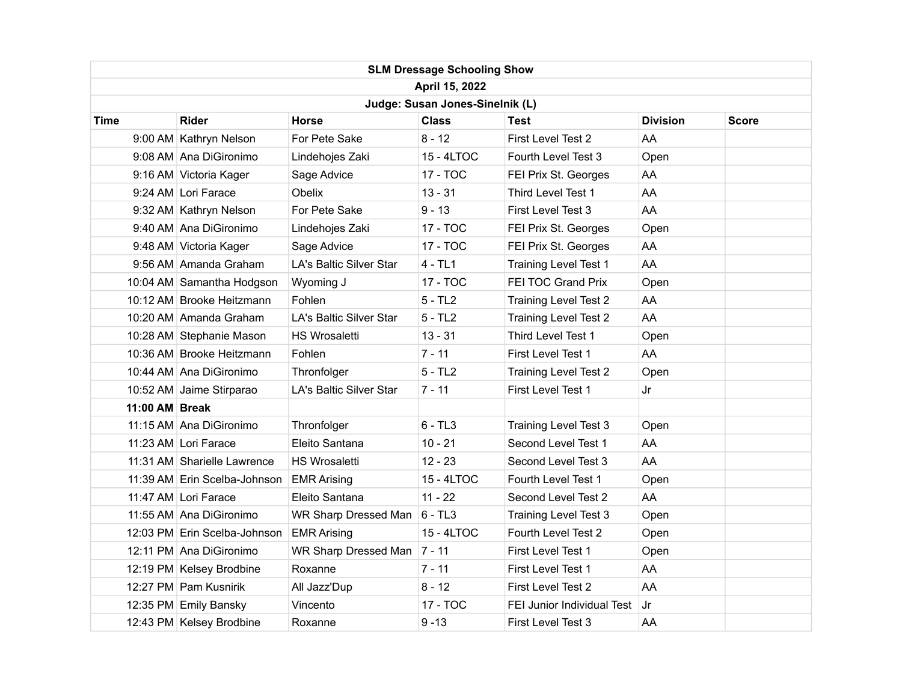| <b>SLM Dressage Schooling Show</b> |                              |                         |              |                              |                 |       |  |  |  |  |
|------------------------------------|------------------------------|-------------------------|--------------|------------------------------|-----------------|-------|--|--|--|--|
| April 15, 2022                     |                              |                         |              |                              |                 |       |  |  |  |  |
| Judge: Susan Jones-Sinelnik (L)    |                              |                         |              |                              |                 |       |  |  |  |  |
| Time                               | <b>Rider</b>                 | <b>Horse</b>            | <b>Class</b> | Test                         | <b>Division</b> | Score |  |  |  |  |
|                                    | 9:00 AM Kathryn Nelson       | For Pete Sake           | $8 - 12$     | First Level Test 2           | AA              |       |  |  |  |  |
|                                    | 9:08 AM Ana DiGironimo       | Lindehojes Zaki         | 15 - 4LTOC   | Fourth Level Test 3          | Open            |       |  |  |  |  |
|                                    | 9:16 AM Victoria Kager       | Sage Advice             | 17 - TOC     | FEI Prix St. Georges         | AA              |       |  |  |  |  |
|                                    | 9:24 AM Lori Farace          | Obelix                  | $13 - 31$    | Third Level Test 1           | AA              |       |  |  |  |  |
|                                    | 9:32 AM Kathryn Nelson       | For Pete Sake           | $9 - 13$     | First Level Test 3           | AA              |       |  |  |  |  |
|                                    | 9:40 AM Ana DiGironimo       | Lindehojes Zaki         | 17 - TOC     | FEI Prix St. Georges         | Open            |       |  |  |  |  |
|                                    | 9:48 AM Victoria Kager       | Sage Advice             | 17 - TOC     | FEI Prix St. Georges         | AA              |       |  |  |  |  |
|                                    | 9:56 AM Amanda Graham        | LA's Baltic Silver Star | $4 - TL1$    | Training Level Test 1        | AA              |       |  |  |  |  |
|                                    | 10:04 AM Samantha Hodgson    | Wyoming J               | 17 - TOC     | FEI TOC Grand Prix           | Open            |       |  |  |  |  |
|                                    | 10:12 AM Brooke Heitzmann    | Fohlen                  | $5 - TL2$    | <b>Training Level Test 2</b> | AA              |       |  |  |  |  |
|                                    | 10:20 AM Amanda Graham       | LA's Baltic Silver Star | $5 - TL2$    | <b>Training Level Test 2</b> | AA              |       |  |  |  |  |
|                                    | 10:28 AM Stephanie Mason     | <b>HS Wrosaletti</b>    | $13 - 31$    | Third Level Test 1           | Open            |       |  |  |  |  |
|                                    | 10:36 AM Brooke Heitzmann    | Fohlen                  | $7 - 11$     | First Level Test 1           | AA              |       |  |  |  |  |
|                                    | 10:44 AM Ana DiGironimo      | Thronfolger             | $5 - TL2$    | <b>Training Level Test 2</b> | Open            |       |  |  |  |  |
|                                    | 10:52 AM Jaime Stirparao     | LA's Baltic Silver Star | $7 - 11$     | First Level Test 1           | Jr              |       |  |  |  |  |
| 11:00 AM Break                     |                              |                         |              |                              |                 |       |  |  |  |  |
|                                    | 11:15 AM Ana DiGironimo      | Thronfolger             | $6 - TL3$    | <b>Training Level Test 3</b> | Open            |       |  |  |  |  |
|                                    | 11:23 AM Lori Farace         | Eleito Santana          | $10 - 21$    | Second Level Test 1          | AA              |       |  |  |  |  |
|                                    | 11:31 AM Sharielle Lawrence  | <b>HS Wrosaletti</b>    | $12 - 23$    | Second Level Test 3          | AA              |       |  |  |  |  |
|                                    | 11:39 AM Erin Scelba-Johnson | <b>EMR Arising</b>      | 15 - 4LTOC   | Fourth Level Test 1          | Open            |       |  |  |  |  |
|                                    | 11:47 AM Lori Farace         | Eleito Santana          | $11 - 22$    | Second Level Test 2          | AA              |       |  |  |  |  |
|                                    | 11:55 AM Ana DiGironimo      | WR Sharp Dressed Man    | $6 - TL3$    | <b>Training Level Test 3</b> | Open            |       |  |  |  |  |
|                                    | 12:03 PM Erin Scelba-Johnson | <b>EMR Arising</b>      | 15 - 4LTOC   | Fourth Level Test 2          | Open            |       |  |  |  |  |
|                                    | 12:11 PM Ana DiGironimo      | WR Sharp Dressed Man    | $7 - 11$     | First Level Test 1           | Open            |       |  |  |  |  |
|                                    | 12:19 PM Kelsey Brodbine     | Roxanne                 | $7 - 11$     | First Level Test 1           | AA              |       |  |  |  |  |
|                                    | 12:27 PM Pam Kusnirik        | All Jazz'Dup            | $8 - 12$     | First Level Test 2           | AA              |       |  |  |  |  |
|                                    | 12:35 PM Emily Bansky        | Vincento                | 17 - TOC     | FEI Junior Individual Test   | Jr              |       |  |  |  |  |
|                                    | 12:43 PM Kelsey Brodbine     | Roxanne                 | $9 - 13$     | First Level Test 3           | AA              |       |  |  |  |  |